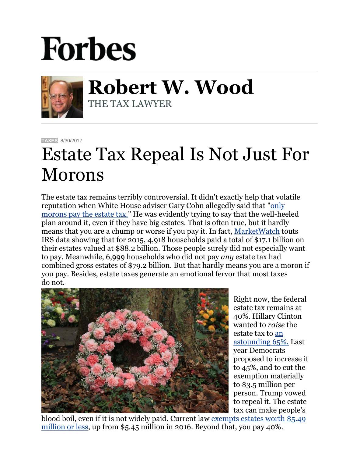## **Forbes**



**Robert W. Wood** THE TAX LAWYER

**[TAXES](https://www.forbes.com/taxes)** 8/30/2017

## Estate Tax Repeal Is Not Just For Morons

The estate tax remains terribly controversial. It didn't exactly help that volatile reputation when White House adviser Gary Cohn allegedly said that ["only](https://www.cnbc.com/2017/08/29/only-morons-pay-the-estate-tax-says-white-houses-gary-cohn.html)  [morons pay the estate tax."](https://www.cnbc.com/2017/08/29/only-morons-pay-the-estate-tax-says-white-houses-gary-cohn.html) He was evidently trying to say that the well-heeled plan around it, even if they have big estates. That is often true, but it hardly means that you are a chump or worse if you pay it. In fact, [MarketWatch](http://www.marketwatch.com/story/heres-how-many-morons-pay-the-estate-tax-2017-08-29) touts IRS data showing that for 2015, 4,918 households paid a total of \$17.1 billion on their estates valued at \$88.2 billion. Those people surely did not especially want to pay. Meanwhile, 6,999 households who did not pay *any* estate tax had combined gross estates of \$79.2 billion. But that hardly means you are a moron if you pay. Besides, estate taxes generate an emotional fervor that most taxes do not.



Right now, the federal estate tax remains at 40%. Hillary Clinton wanted to *raise* the estate tax to [an](http://www.forbes.com/sites/robertwood/2016/09/23/hillary-clintons-65-estate-tax-or-donald-trumps-repeal/#2a7dda6d5bf7)  [astounding 65%.](http://www.forbes.com/sites/robertwood/2016/09/23/hillary-clintons-65-estate-tax-or-donald-trumps-repeal/#2a7dda6d5bf7) Last year Democrats proposed to increase it to 45%, and to cut the exemption materially to \$3.5 million per person. Trump vowed to repeal it. The estate tax can make people's

blood boil, even if it is not widely paid. Current law [exempts estates worth](https://www.irs.gov/businesses/small-businesses-self-employed/estate-tax) \$5.49 [million or less,](https://www.irs.gov/businesses/small-businesses-self-employed/estate-tax) up from \$5.45 million in 2016. Beyond that, you pay 40%.